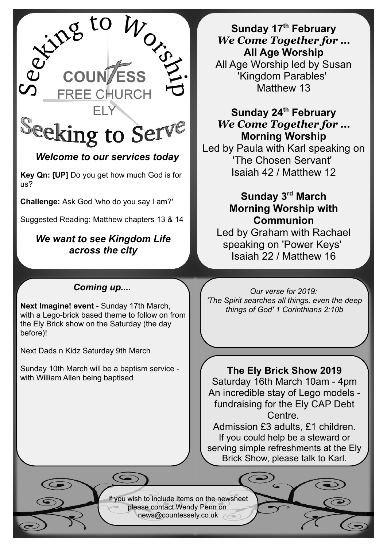

# *Welcome to our services today*

**Key Qn: [UP]** Do you get how much God is for us?

**Challenge:** Ask God 'who do you say I am?'

Suggested Reading: Matthew chapters 13 & 14

## *We want to see Kingdom Life across the city*

## *Coming up....*

**Next Imagine! event** - Sunday 17th March, with a Lego-brick based theme to follow on from the Ely Brick show on the Saturday (the day before)!

Next Dads n Kidz Saturday 9th March

Sunday 10th March will be a baptism service with William Allen being baptised

**Sunday 17th February** *We Come Together for …* **All Age Worship** All Age Worship led by Susan 'Kingdom Parables' Matthew 13

**Sunday 24th February** *We Come Together for …* **Morning Worship**

Led by Paula with Karl speaking on 'The Chosen Servant' Isaiah 42 / Matthew 12

# **Sunday 3rd March Morning Worship with Communion**

Led by Graham with Rachael speaking on 'Power Keys' Isaiah 22 / Matthew 16

*Our verse for 2019: 'The Spirit searches all things, even the deep things of God' 1 Corinthians 2:10b*

**The Ely Brick Show 2019** Saturday 16th March 10am - 4pm An incredible stay of Lego models fundraising for the Ely CAP Debt Centre.

Admission £3 adults, £1 children. If you could help be a steward or serving simple refreshments at the Ely Brick Show, please talk to Karl.

If you wish to include items on the newsheet please contact Wendy Penn on [news@countessely.co.uk](mailto:news@countessely.co.uk)